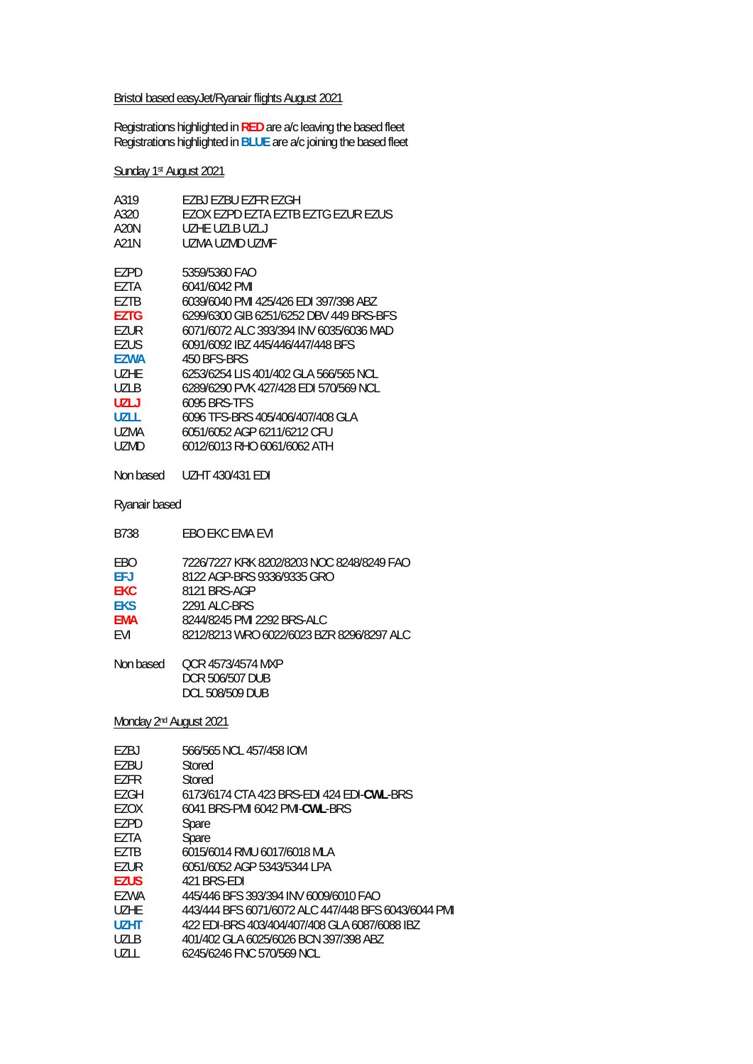#### Bristol based easyJet/Ryanair flights August 2021

Registrations highlighted in **RED** are a/c leaving the based fleet Registrations highlighted in **BLUE** are a/c joining the based fleet

# Sunday 1st August 2021

| A319        | F7BJ F7BU F7FR F7GH                     |
|-------------|-----------------------------------------|
| A320        | EZOX EZPD EZTA EZTB EZTG EZUR EZUS      |
| A20N        | UZHE UZI B UZI J                        |
| A21N        | UZMA UZMD UZMF                          |
| EZPD        | 5359/5360 FAO                           |
| F7TA        | 6041/6042 PMI                           |
| EZTB        | 6039/6040 PML 425/426 FDL397/398 ABZ    |
| <b>F7TG</b> | 6299/6300 GIB 6251/6252 DBV 449 BRS-BES |
| F7UR        | 6071/6072 ALC 393/394 INV 6035/6036 MAD |
| EZUS        | 6091/6092 IBZ 445/446/447/448 BFS       |
| EZWA        | 450 BFS-BRS                             |
| UZHF        | 6253/6254 LIS 401/402 GLA 566/565 NCL   |
| U71 B       | 6289/6290 PVK 427/428 EDI 570/569 NCL   |
| UZLJ        | 6095 BRS-TES                            |
| U7L L       | 6096 TFS-BRS 405/406/407/408 GLA        |
| UZMA        | 6051/6052 AGP 6211/6212 CFU             |
| UZMD        | 6012/6013 RHO 6061/6062 ATH             |
| Non based   | UZHT 430/431 EDI                        |

Ryanair based

| B738       | EBO EKC EMA EVI                           |
|------------|-------------------------------------------|
| <b>FRO</b> | 7226/7227 KRK 8202/8203 NOC 8248/8249 FAO |
| FFJ        | 8122 AGP-BRS 9336/9335 GRO                |
| <b>FKC</b> | 8121 BRS-AGP                              |
| <b>FKS</b> | 2291 ALC-BRS                              |
| <b>FMA</b> | 8244/8245 PMI 2292 BRS-ALC                |
| <b>FVI</b> | 8212/8213 WRO 6022/6023 BZR 8296/8297 ALC |
|            |                                           |

Non based QCR 4573/4574 MXP DCR 506/507 DUB DCL 508/509 DUB

Monday 2<sup>nd</sup> August 2021

| F7BJ              | 566/565 NCL 457/458 IOM                             |
|-------------------|-----------------------------------------------------|
| F7BU              | Stored                                              |
| F7FR              | Stored                                              |
| F7GH              | 6173/6174 CTA 423 BRS-FDI 424 FDI-CWI -BRS          |
| EZOX              | 6041 BRS-PMI 6042 PMI-CWL-BRS                       |
| F7PD              | Spare                                               |
| F7TA              | Spare                                               |
| F7TB              | 6015/6014 RMU 6017/6018 MLA                         |
| EZUR              | 6051/6052 AGP 5343/5344 LPA                         |
| <b>F7US</b>       | 421 BRS-FDI                                         |
| EZWA              | 445/446 BFS 393/394 INV 6009/6010 FAO               |
| U <sub>7</sub> HF | 443/444 BES 6071/6072 ALC 447/448 BES 6043/6044 PMI |
| U7HT              | 422 EDI-BRS 403/404/407/408 GLA 6087/6088 IBZ       |
| <b>UZLB</b>       | 401/402 GLA 6025/6026 BCN 397/398 ABZ               |
| UZLI.             | 6245/6246 FNC 570/569 NCL                           |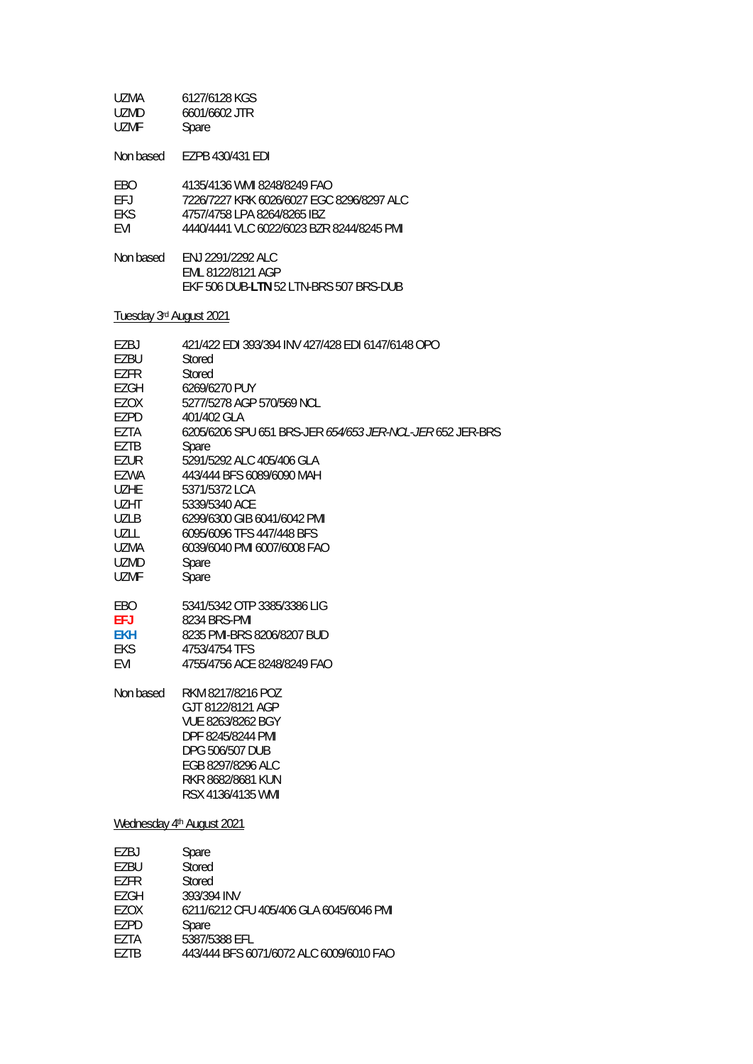| UZMA        | 6127/6128 KGS                             |
|-------------|-------------------------------------------|
| <b>UZMD</b> | 6601/6602 JTR                             |
| <b>UZMF</b> | Spare                                     |
| Non based   | EZPB 430/431 EDI                          |
| <b>FRO</b>  | 4135/4136 WMI 8248/8249 FAO               |
| FFJ         | 7226/7227 KRK 6026/6027 EGC 8296/8297 ALC |
| <b>FKS</b>  | 4757/4758 LPA 8264/8265 IBZ               |

- EVI 4440/4441 VLC 6022/6023 BZR 8244/8245 PMI
- Non based ENJ 2291/2292 ALC EML 8122/8121 AGP EKF 506 DUB-**LTN** 52 LTN-BRS 507 BRS-DUB

#### Tuesday 3rd August 2021

| EZBJ        | 421/422 EDI 393/394 INV 427/428 EDI 6147/6148 OPO         |
|-------------|-----------------------------------------------------------|
| <b>EZBU</b> | Stored                                                    |
| <b>EZFR</b> | Stored                                                    |
| EZGH        | 6269/6270 PUY                                             |
| <b>EZOX</b> | 5277/5278 AGP 570/569 NCL                                 |
| EZPD        | 401/402 GLA                                               |
| EZTA        | 6205/6206 SPU 651 BRS-JER 654/653 JER-NCL-JER 652 JER-BRS |
| <b>EZTB</b> | Spare                                                     |
| <b>EZUR</b> | 5291/5292 ALC 405/406 GLA                                 |
| <b>EZWA</b> | 443/444 BFS 6089/6090 MAH                                 |
| <b>UZHE</b> | 5371/5372 LCA                                             |
| <b>UZHT</b> | 5339/5340 ACE                                             |
| <b>UZLB</b> | 6299/6300 GIB 6041/6042 PMI                               |
| <b>UZLL</b> | 6095/6096 TFS 447/448 BFS                                 |
| UZMA        | 6039/6040 PMI 6007/6008 FAO                               |
| <b>UZMD</b> | Spare                                                     |
| <b>UZMF</b> | Spare                                                     |
| <b>EBO</b>  | 5341/5342 OTP 3385/3386 LIG                               |
| <b>EFJ</b>  | 8234 BRS-PMI                                              |
| <b>EKH</b>  | 8235 PMI-BRS 8206/8207 BUD                                |
| <b>EKS</b>  | 4753/4754 TFS                                             |
| <b>EVI</b>  | 4755/4756 ACE 8248/8249 FAO                               |
| Non based   | RKM 8217/8216 POZ                                         |
|             | GJT 8122/8121 AGP                                         |
|             | VUE 8263/8262 BGY                                         |
|             | DPF 8245/8244 PMI                                         |
|             | DPG 506/507 DUB                                           |
|             | EGB 8297/8296 ALC                                         |
|             | RKR 8682/8681 KUN                                         |
|             | RSX 4136/4135 WMI                                         |
|             | Wednesday 4th August 2021                                 |
| EZBJ        | Spare                                                     |
| EZBU        | Stored                                                    |
| EZFR        | Stored                                                    |
| <b>EZGH</b> | 393/394 INV                                               |
| EZOX        | 6211/6212 CFU 405/406 GLA 6045/6046 PMI                   |
|             |                                                           |

- EZPD Spare<br>EZTA 5387/5
- EZTA 5387/5388 EFL<br>EZTB 443/444 BFS 60 443/444 BFS 6071/6072 ALC 6009/6010 FAO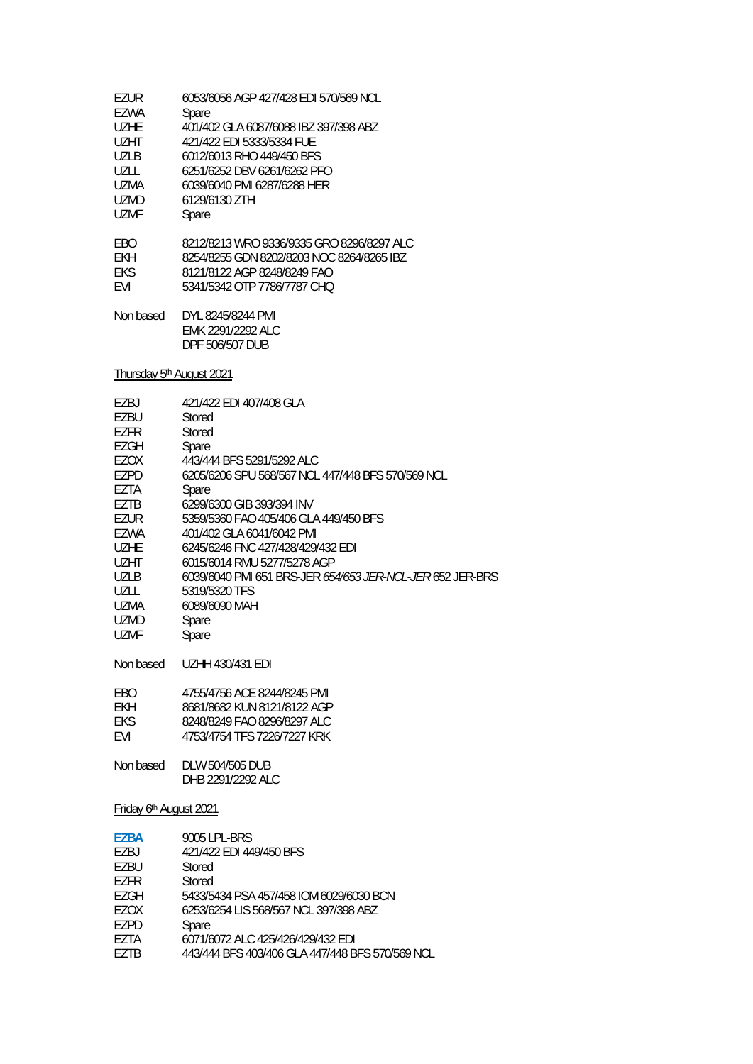| 6053/6056 AGP 427/428 EDI 570/569 NCL                                                                                                                |
|------------------------------------------------------------------------------------------------------------------------------------------------------|
| Spare                                                                                                                                                |
| 401/402 GLA 6087/6088 IBZ 397/398 ABZ                                                                                                                |
| 421/422 FDI 5333/5334 FUF                                                                                                                            |
| 6012/6013 RHO 449/450 BES                                                                                                                            |
| 6251/6252 DBV 6261/6262 PFO                                                                                                                          |
| 6039/6040 PMI 6287/6288 HER                                                                                                                          |
| 6129/6130 ZTH                                                                                                                                        |
| Spare                                                                                                                                                |
| 8212/8213 WRO 9336/9335 GRO 8296/8297 ALC<br>8254/8255 GDN 8202/8203 NOC 8264/8265 IBZ<br>8121/8122 AGP 8248/8249 FAO<br>5341/5342 OTP 7786/7787 CHO |
| DYL 8245/8244 PMI<br>EMK 2291/2292 ALC<br>DPF 506/507 DUB                                                                                            |
|                                                                                                                                                      |

Thursday 5<sup>th</sup> August 2021

| F7BJ        | 421/422 EDI 407/408 GLA                           |
|-------------|---------------------------------------------------|
| EZBU        | Stored                                            |
| EZFR        | Stored                                            |
| EZGH        | Spare                                             |
| EZOX        | 443/444 BFS 5291/5292 ALC                         |
| EZPD        | 6205/6206 SPU 568/567 NCL 447/448 BFS 570/569 NCL |
| EZTA        | Spare                                             |
| EZTB        | 6299/6300 GIB 393/394 INV                         |
| EZUR        | 5359/5360 FAO 405/406 GLA 449/450 BFS             |
| EZWA        | 401/402 GLA 6041/6042 PMI                         |
| <b>UZHE</b> | 6245/6246 FNC 427/428/429/432 EDI                 |
| UZHT        | 6015/6014 RMU 5277/5278 AGP                       |
| UZLB        |                                                   |
| UZLL.       | 5319/5320 TFS                                     |
| UZMA        | 6089/6090 MAH                                     |
| <b>UZMD</b> | Spare                                             |
| UZMF        | Spare                                             |
|             |                                                   |
| Non based   | UZHH 430/431 EDI                                  |

| FBO.       | 4755/4756 ACF 8244/8245 PML |
|------------|-----------------------------|
| FKH.       | 8681/8682 KUN 8121/8122 AGP |
| FKS.       | 8248/8249 FAO 8296/8297 ALC |
| <b>FVI</b> | 4753/4754 TFS 7226/7227 KRK |

Non based DLW 504/505 DUB DHB 2291/2292 ALC

Friday 6th August 2021

| <b>EZBA</b> | 9005 LPL-BRS                                    |
|-------------|-------------------------------------------------|
| EZBJ        | 421/422 EDI 449/450 BFS                         |
| F7BU        | Stored                                          |
| F7FR        | Stored                                          |
| F7GH        | 5433/5434 PSA 457/458 IOM 6029/6030 BCN         |
| F7OX        | 6253/6254 LIS 568/567 NCL 397/398 ABZ           |
| F7PD        | Spare                                           |
| F7TA        | 6071/6072 ALC 425/426/429/432 EDI               |
| F7TR        | 443/444 BFS 403/406 GLA 447/448 BFS 570/569 NCL |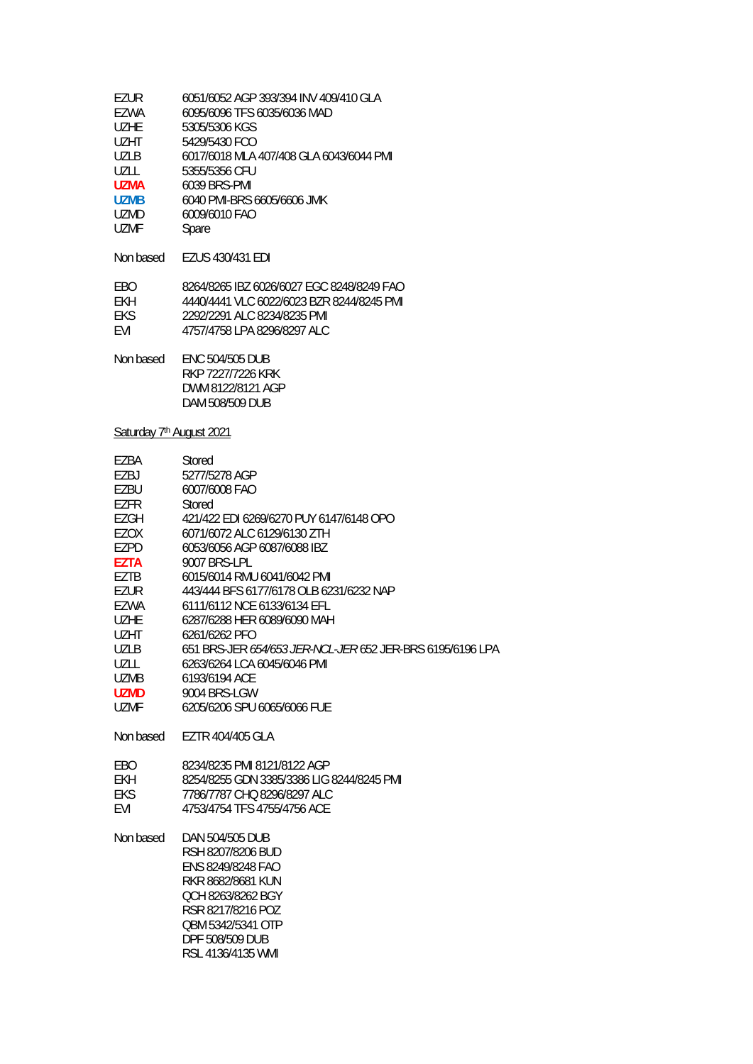| EZUR              | 6051/6052 AGP 393/394 INV 409/410 GLA     |
|-------------------|-------------------------------------------|
| EZWA              | 6095/6096 TFS 6035/6036 MAD               |
| UZHE              | 5305/5306 KGS                             |
| U <sub>7</sub> HT | 5429/5430 FCO                             |
| UZLB              | 6017/6018 MLA 407/408 GLA 6043/6044 PMI   |
| UZLL              | 5355/5356 CFU                             |
| <b>UZMA</b>       | 6039 BRS-PMI                              |
| <b>UZMB</b>       | 6040 PMI-BRS 6605/6606 JMK                |
| UZMD              | 6009/6010 FAO                             |
| <b>UZMF</b>       | Spare                                     |
| Non based         | EZUS 430/431 EDI                          |
| EBO               | 8264/8265 IBZ 6026/6027 EGC 8248/8249 FAO |
| FKH               | 4440/4441 VLC 6022/6023 BZR 8244/8245 PML |
| EKS               | 2292/2291 ALC 8234/8235 PML               |
| EVI               | 4757/4758 LPA 8296/8297 ALC               |
| Non based         | <b>ENC 504/505 DUB</b>                    |
|                   |                                           |

 RKP 7227/7226 KRK DWM 8122/8121 AGP DAM 508/509 DUB

RSL 4136/4135 WMI

# Saturday 7<sup>th</sup> August 2021

| EZBA<br>EZBJ<br>EZBU<br>EZFR<br>EZGH<br><b>EZOX</b><br>EZPD<br><b>EZTA</b><br>EZTB<br>EZUR<br>EZWA<br><b>UZHE</b><br><b>UZHT</b><br><b>UZLB</b><br><b>UZLL</b><br><b>UZMB</b> | Stored<br>5277/5278 AGP<br>6007/6008 FAO<br>Stored<br>421/422 EDI 6269/6270 PUY 6147/6148 OPO<br>6071/6072 ALC 6129/6130 ZTH<br>6053/6056 AGP 6087/6088 IBZ<br>9007 BRS-LPL<br>6015/6014 RMU 6041/6042 PMI<br>443/444 BFS 6177/6178 OLB 6231/6232 NAP<br>6111/6112 NCE 6133/6134 EFL<br>6287/6288 HER 6089/6090 MAH<br>6261/6262 PFO<br>651 BRS-JER 654/653 JER-NCL-JER 652 JER-BRS 6195/6196 LPA<br>6263/6264 LCA 6045/6046 PMI<br>6193/6194 ACE |
|-------------------------------------------------------------------------------------------------------------------------------------------------------------------------------|---------------------------------------------------------------------------------------------------------------------------------------------------------------------------------------------------------------------------------------------------------------------------------------------------------------------------------------------------------------------------------------------------------------------------------------------------|
| <b>UZMD</b>                                                                                                                                                                   | 9004 BRS-LGW                                                                                                                                                                                                                                                                                                                                                                                                                                      |
| <b>UZMF</b>                                                                                                                                                                   | 6205/6206 SPU 6065/6066 FUE                                                                                                                                                                                                                                                                                                                                                                                                                       |
| Non based                                                                                                                                                                     | EZTR 404/405 GLA                                                                                                                                                                                                                                                                                                                                                                                                                                  |
| EBO<br><b>EKH</b><br><b>EKS</b><br>EVI                                                                                                                                        | 8234/8235 PMI 8121/8122 AGP<br>8254/8255 GDN 3385/3386 LIG 8244/8245 PMI<br>7786/7787 CHO 8296/8297 ALC<br>4753/4754 TFS 4755/4756 ACE                                                                                                                                                                                                                                                                                                            |
| Non based                                                                                                                                                                     | DAN 504/505 DUB<br>RSH 8207/8206 BUD<br>ENS 8249/8248 FAO<br>RKR 8682/8681 KUN<br>OCH 8263/8262 BGY<br>RSR 8217/8216 POZ<br>OBM 5342/5341 OTP<br>DPF 508/509 DUB                                                                                                                                                                                                                                                                                  |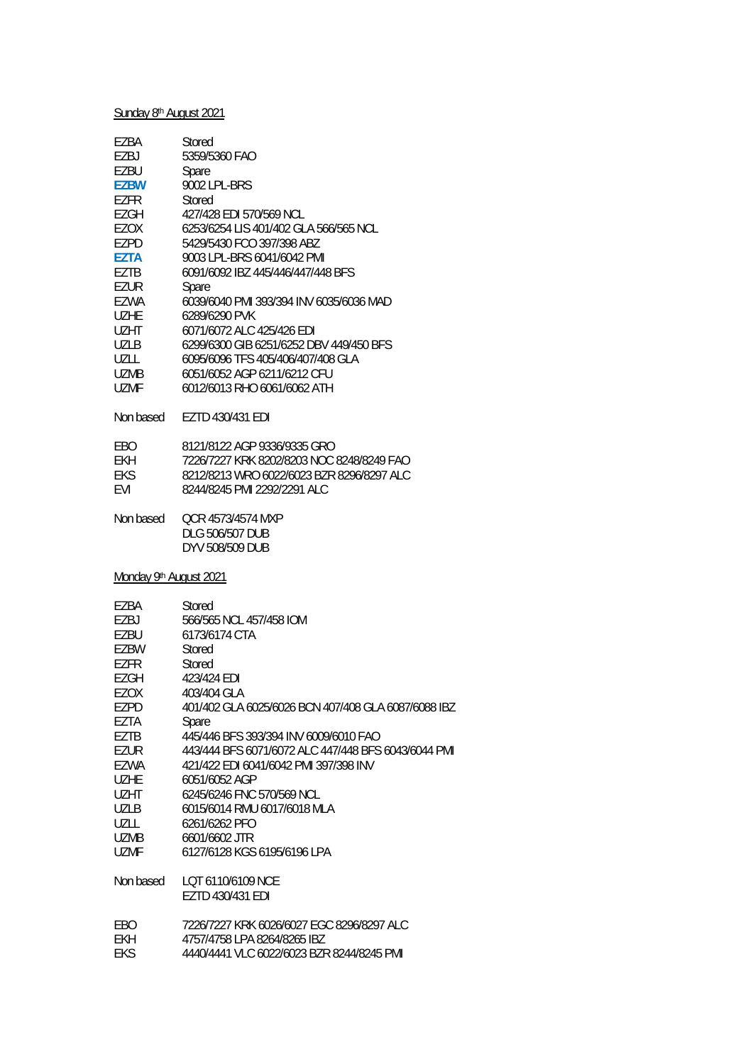# Sunday 8<sup>th</sup> August 2021

| EZBA              | Stored                                  |
|-------------------|-----------------------------------------|
| EZBJ              | 5359/5360 FAO                           |
| FZBU              | Spare                                   |
| <b>EZBW</b>       | 9002 LPL-BRS                            |
| EZFR              | Stored                                  |
| EZGH              | 427/428 EDI 570/569 NCL                 |
| EZOX              | 6253/6254 LIS 401/402 GLA 566/565 NCL   |
| EZPD              | 5429/5430 FCO 397/398 ABZ               |
| <b>F7TA</b>       | 9003 LPL-BRS 6041/6042 PMI              |
| EZTB              | 6091/6092 IBZ 445/446/447/448 BFS       |
| EZUR              | Spare                                   |
| EZWA              | 6039/6040 PMI 393/394 INV 6035/6036 MAD |
| UZHF              | 6289/6290 PVK                           |
| U <sub>7</sub> HT | 6071/6072 ALC 425/426 EDI               |
| UZLB              | 6299/6300 GIB 6251/6252 DBV 449/450 BFS |
| UZLL              | 6095/6096 TFS 405/406/407/408 GLA       |
| UZMB              | 6051/6052 AGP 6211/6212 CFU             |
| UZMF              | 6012/6013 RHO 6061/6062 ATH             |
| Non based         | EZTD 430/431 EDI                        |
| EBO               | 8121/8122 AGP 9336/9335 GRO             |

| ERO.       | 8121/8122 AGP 9336/9335 GRU               |
|------------|-------------------------------------------|
| FKH.       | 7226/7227 KRK 8202/8203 NOC 8248/8249 FAO |
| FKS.       | 8212/8213 WRO 6022/6023 BZR 8296/8297 ALC |
| <b>FVI</b> | 8244/8245 PMI 2292/2291 ALC               |
|            |                                           |

Non based QCR 4573/4574 MXP DLG 506/507 DUB DYV 508/509 DUB

Monday 9<sup>th</sup> August 2021

| Stored                                              |
|-----------------------------------------------------|
| 566/565 NCL 457/458 IOM                             |
| 6173/6174 CTA                                       |
| Stored                                              |
| Stored                                              |
| 423/424 EDI                                         |
| 403/404 GLA                                         |
| 401/402 GLA 6025/6026 BCN 407/408 GLA 6087/6088 IBZ |
| Spare                                               |
| 445/446 BES 393/394 INV 6009/6010 FAO               |
| 443/444 BFS 6071/6072 ALC 447/448 BFS 6043/6044 PML |
| 421/422 EDI 6041/6042 PMI 397/398 INV               |
| 6051/6052 AGP                                       |
| 6245/6246 FNC 570/569 NCL                           |
| 6015/6014 RMU 6017/6018 MLA                         |
| 6261/6262 PFO                                       |
| 6601/6602 JTR                                       |
| 6127/6128 KGS 6195/6196 LPA                         |
| LOT 6110/6109 NCE                                   |
| EZTD 430/431 EDI                                    |
| 7226/7227 KRK 6026/6027 EGC 8296/8297 ALC           |
| 4757/4758 LPA 8264/8265 IBZ                         |
| 4440/4441 VLC 6022/6023 BZR 8244/8245 PMI           |
|                                                     |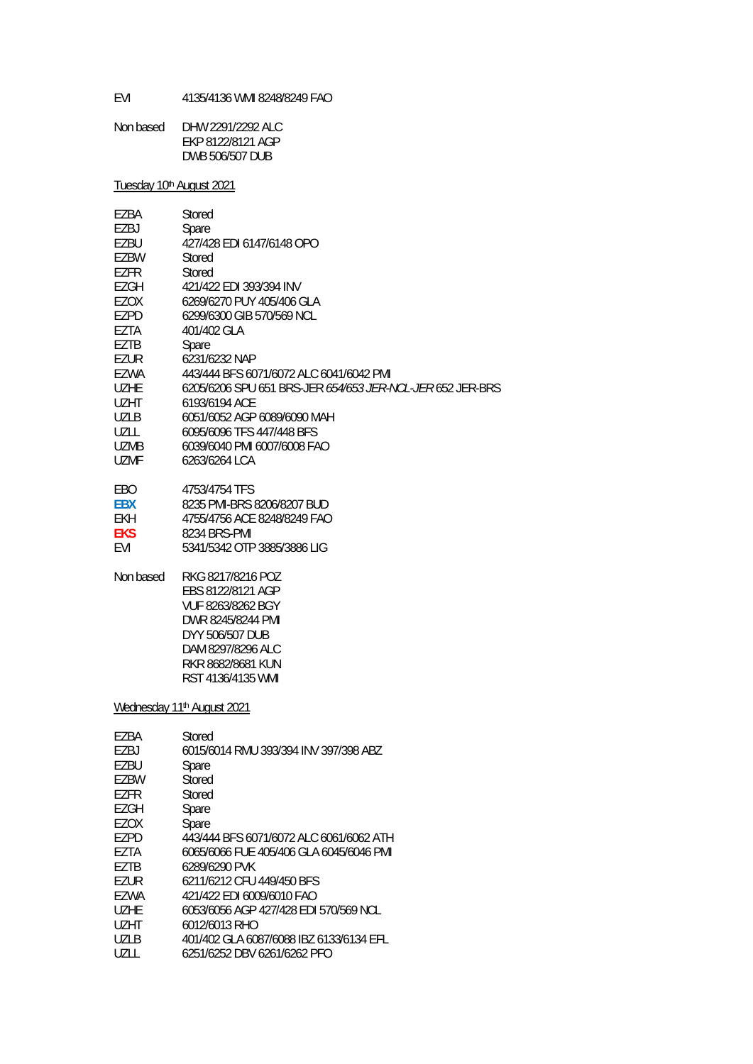EVI 4135/4136 WMI 8248/8249 FAO

| Non based | DHW 2291/2292 ALC |
|-----------|-------------------|
|           | EKP 8122/8121 AGP |
|           | DWB 506/507 DUB   |

Tuesday 10th August 2021

| EZBA        | Stored                                                                                                                                                             |
|-------------|--------------------------------------------------------------------------------------------------------------------------------------------------------------------|
| EZBJ        | Spare                                                                                                                                                              |
| EZBU        | 427/428 EDI 6147/6148 OPO                                                                                                                                          |
| EZBW        | Stored                                                                                                                                                             |
| <b>EZFR</b> | Stored                                                                                                                                                             |
| EZGH        | 421/422 EDI 393/394 INV                                                                                                                                            |
| EZOX        | 6269/6270 PUY 405/406 GLA                                                                                                                                          |
| EZPD        | 6299/6300 GIB 570/569 NCL                                                                                                                                          |
| EZTA        | 401/402 GLA                                                                                                                                                        |
| EZTB        | Spare                                                                                                                                                              |
| EZUR        | 6231/6232 NAP                                                                                                                                                      |
| <b>EZWA</b> | 443/444 BFS 6071/6072 ALC 6041/6042 PMI                                                                                                                            |
| <b>UZHE</b> | 6205/6206 SPU 651 BRS-JER 654/653 JER-NCL-JER 652 JER-BRS                                                                                                          |
| UZHT        | 6193/6194 ACE                                                                                                                                                      |
| <b>UZLB</b> | 6051/6052 AGP 6089/6090 MAH                                                                                                                                        |
| UZLL        | 6095/6096 TFS 447/448 BFS                                                                                                                                          |
| <b>UZMB</b> | 6039/6040 PMI 6007/6008 FAO                                                                                                                                        |
| <b>UZMF</b> | 6263/6264 LCA                                                                                                                                                      |
| EBO         | 4753/4754 TFS                                                                                                                                                      |
| <b>EBX</b>  | 8235 PMI-BRS 8206/8207 BUD                                                                                                                                         |
| <b>EKH</b>  | 4755/4756 ACE 8248/8249 FAO                                                                                                                                        |
| <b>EKS</b>  | 8234 BRS-PMI                                                                                                                                                       |
| EVI         | 5341/5342 OTP 3885/3886 LIG                                                                                                                                        |
| Non based   | RKG 8217/8216 POZ<br>EBS 8122/8121 AGP<br>VUF 8263/8262 BGY<br>DWR 8245/8244 PMI<br>DYY 506/507 DUB<br>DAM 8297/8296 ALC<br>RKR 8682/8681 KUN<br>RST 4136/4135 WMI |
|             | Wednesday 11 <sup>th</sup> August 2021                                                                                                                             |
| EZBA        | Stored                                                                                                                                                             |
| EZBJ        | 6015/6014 RMU 393/394 INV 397/398 ABZ                                                                                                                              |
| EZBU        | Spare                                                                                                                                                              |
| EZBW        | Stored                                                                                                                                                             |
| EZFR        | Stored                                                                                                                                                             |
| <b>EZGH</b> | Spare                                                                                                                                                              |
| EZOX        | Spare                                                                                                                                                              |
| EZPD        | 443/444 BFS 6071/6072 ALC 6061/6062 ATH                                                                                                                            |
| EZTA        | 6065/6066 FUE 405/406 GLA 6045/6046 PMI                                                                                                                            |
| EZTB        | 6289/6290 PVK                                                                                                                                                      |
| EZUR        | 6211/6212 CFU 449/450 BFS                                                                                                                                          |
| EZWA        | 421/422 EDI 6009/6010 FAO                                                                                                                                          |
| <b>UZHE</b> | 6053/6056 AGP 427/428 EDI 570/569 NCL                                                                                                                              |
| <b>UZHT</b> | 6012/6013 RHO                                                                                                                                                      |
| <b>UZLB</b> | 401/402 GLA 6087/6088 IBZ 6133/6134 EFL                                                                                                                            |

UZLL 6251/6252 DBV 6261/6262 PFO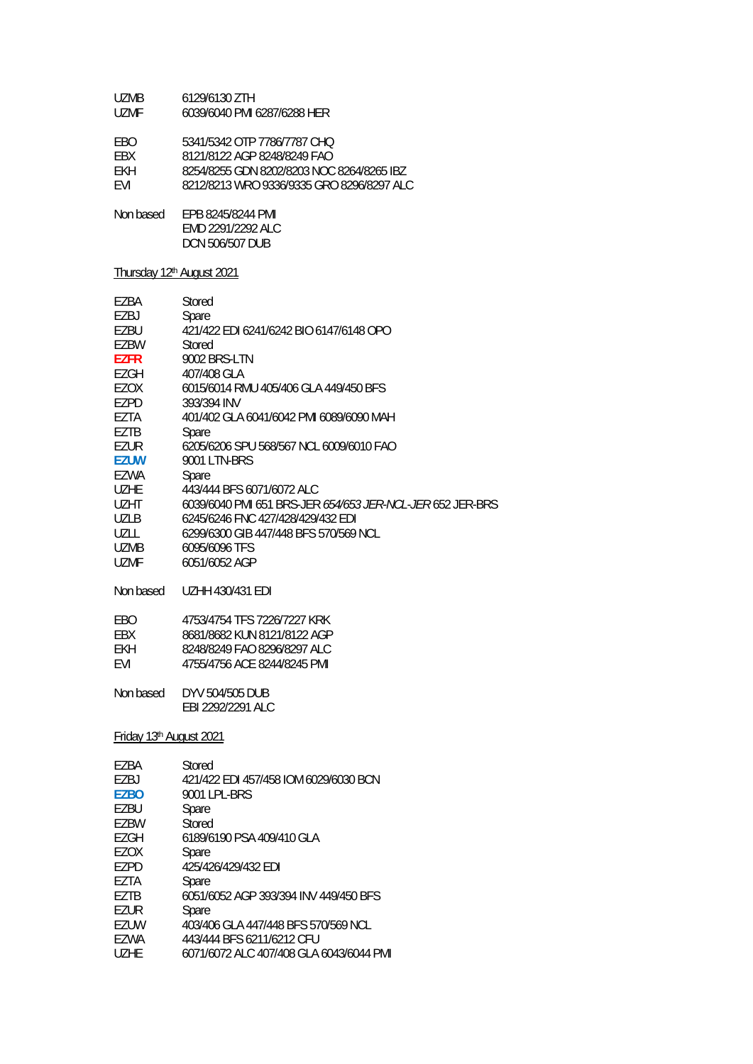| UZMB. | 6129/6130 ZTH               |
|-------|-----------------------------|
| UZMF  | 6039/6040 PMI 6287/6288 HER |

EBO 5341/5342 OTP 7786/7787 CHQ

EBX 8121/8122 AGP 8248/8249 FAO<br>EKH 8254/8255 GDN 8202/8203 NOC

EKH 8254/8255 GDN 8202/8203 NOC 8264/8265 IBZ<br>EVI 8212/8213 WRO 9336/9335 GRO 8296/8297 ALC

EVI 8212/8213 WRO 9336/9335 GRO 8296/8297 ALC

Non based EPB 8245/8244 PMI EMD 2291/2292 ALC DCN 506/507 DUB

### Thursday 12th August 2021

| EZBA                                | Stored                                                     |
|-------------------------------------|------------------------------------------------------------|
| EZBJ                                | Spare                                                      |
| <b>EZBU</b>                         | 421/422 FDI 6241/6242 BIO 6147/6148 OPO                    |
| <b>EZBW</b>                         | Stored                                                     |
| <b>EZFR</b>                         | <b>9002 BRS-LTN</b>                                        |
| <b>EZGH</b>                         | 407/408 GLA                                                |
| EZOX                                | 6015/6014 RMU 405/406 GLA 449/450 BFS                      |
| <b>EZPD</b>                         | 393/394 INV                                                |
| EZTA                                | 401/402 GLA 6041/6042 PMI 6089/6090 MAH                    |
| <b>EZTB</b>                         | Spare                                                      |
| <b>EZUR</b>                         | 6205/6206 SPU 568/567 NCL 6009/6010 FAO                    |
| <b>EZUW</b>                         | 9001 LTN-BRS                                               |
| <b>EZWA</b>                         | Spare                                                      |
| <b>UZHE</b>                         | 443/444 BFS 6071/6072 ALC                                  |
| UZHT                                | 6039/6040 PMI 651 BRS-JER 654/653 JER-NCL-JER 652 JER-BRS  |
| <b>UZLB</b>                         | 6245/6246 FNC 427/428/429/432 EDI                          |
| UZLL                                | 6299/6300 GIB 447/448 BFS 570/569 NCL                      |
| <b>UZMB</b>                         | 6095/6096 TFS                                              |
| <b>UZMF</b>                         | 6051/6052 AGP                                              |
| Non based                           | <b>UZHH 430/431 EDI</b>                                    |
|                                     | 4753/4754 TFS 7226/7227 KRK                                |
| EBO                                 |                                                            |
| EBX<br>EKH                          | 8681/8682 KUN 8121/8122 AGP<br>8248/8249 FAO 8296/8297 ALC |
| EVI                                 | 4755/4756 ACE 8244/8245 PMI                                |
|                                     |                                                            |
| Non based                           | DYV 504/505 DUB                                            |
|                                     | EBI 2292/2291 ALC                                          |
|                                     |                                                            |
| Friday 13 <sup>th</sup> August 2021 |                                                            |
| EZBA                                | Stored                                                     |
| EZBJ.                               | 421/422 EDI 457/458 IOM 6029/6030 BCN                      |
| <b>EZBO</b>                         | 9001 LPL-BRS                                               |
| EZBU                                | Spare                                                      |
| <b>EZBW</b>                         | Stored                                                     |
| <b>EZGH</b>                         | 6189/6190 PSA 409/410 GLA                                  |
| <b>EZOX</b>                         | Spare                                                      |
| <b>EZPD</b>                         | 425/426/429/432 EDI                                        |
| <b>EZTA</b>                         | Spare                                                      |
| <b>EZTB</b>                         | 6051/6052 AGP 393/394 INV 449/450 BFS                      |
|                                     |                                                            |

EZUR Spare<br>EZUW 403/40

EZUW 403/406 GLA 447/448 BFS 570/569 NCL<br>EZWA 443/444 BFS 6211/6212 CFU

EZWA 443/444 BFS 6211/6212 CFU<br>UZHE 6071/6072 ALC 407/408 GLA

UZHE 6071/6072 ALC 407/408 GLA 6043/6044 PMI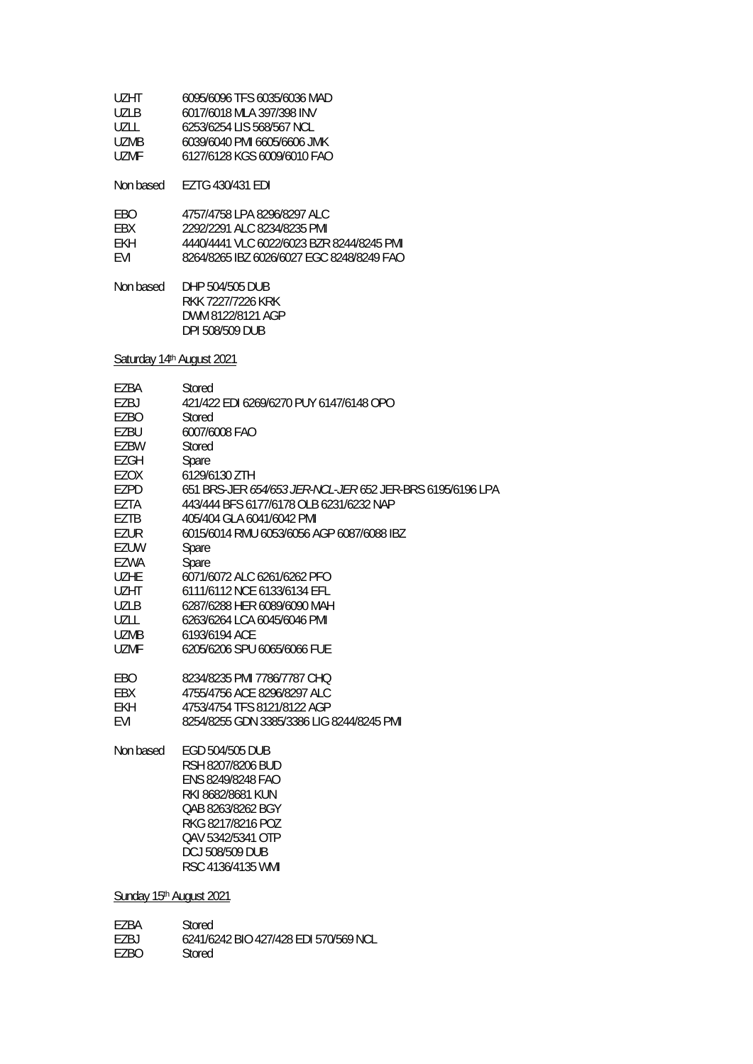| UZHT. | 6095/6096 TFS 6035/6036 MAD |
|-------|-----------------------------|
| U71 B | 6017/6018 MLA 397/398 INV   |
| UZLL  | 6253/6254 LIS 568/567 NCL   |
| UZMB  | 6039/6040 PMI 6605/6606 JMK |
| UZMF  | 6127/6128 KGS 6009/6010 FAO |
|       |                             |

Non based EZTG 430/431 EDI

| FRO.       | 4757/4758 I PA 8296/8297 ALC              |
|------------|-------------------------------------------|
| <b>FRX</b> | 2292/2291 ALC 8234/8235 PML               |
| FKH        | 4440/4441 VLC 6022/6023 BZR 8244/8245 PML |
| <b>FVI</b> | 8264/8265 IBZ 6026/6027 FGC 8248/8249 FAO |

Non based DHP 504/505 DUB RKK 7227/7226 KRK DWM 8122/8121 AGP DPI 508/509 DUB

Saturday 14th August 2021

| EZBA        | Stored                                                    |
|-------------|-----------------------------------------------------------|
| F7BJ        | 421/422 EDI 6269/6270 PUY 6147/6148 OPO                   |
| EZBO        | Stored                                                    |
| <b>EZBU</b> | 6007/6008 FAO                                             |
| EZBW        | Stored                                                    |
| EZGH        | Spare                                                     |
| EZOX        | 6129/6130 ZTH                                             |
| EZPD        | 651 BRS-JER 654/653 JER-NCL-JER 652 JER-BRS 6195/6196 LPA |
| EZTA        | 443/444 BFS 6177/6178 OLB 6231/6232 NAP                   |
| EZTB        | 405/404 GLA 6041/6042 PMI                                 |
| EZUR        | 6015/6014 RMU 6053/6056 AGP 6087/6088 IBZ                 |
| EZUW        | Spare                                                     |
| EZWA        | Spare                                                     |
| <b>UZHE</b> | 6071/6072 ALC 6261/6262 PFO                               |
| <b>UZHT</b> | 6111/6112 NCE 6133/6134 EFL                               |
| <b>UZLB</b> | 6287/6288 HER 6089/6090 MAH                               |
| UZLL        | 6263/6264 LCA 6045/6046 PMI                               |
| <b>UZMB</b> | 6193/6194 ACE                                             |
| <b>UZMF</b> | 6205/6206 SPU 6065/6066 FUE                               |
|             |                                                           |
| EBO         | 8234/8235 PMI 7786/7787 CHO                               |
| EBX         | 4755/4756 ACE 8296/8297 ALC                               |
| EKH         | 4753/4754 TFS 8121/8122 AGP                               |
| EVI         | 8254/8255 GDN 3385/3386 LIG 8244/8245 PMI                 |
| Non based   | EGD 504/505 DUB                                           |
|             | RSH 8207/8206 BUD                                         |
|             | <b>ENS 8249/8248 FAO</b>                                  |
|             | RKI 8682/8681 KUN                                         |
|             | QAB 8263/8262 BGY                                         |
|             | RKG 8217/8216 POZ                                         |
|             | QAV 5342/5341 OTP                                         |
|             | <b>DCJ 508/509 DUB</b>                                    |
|             | RSC 4136/4135 WMI                                         |
|             |                                                           |

Sunday 15th August 2021

| F7BA  | Stored                                |
|-------|---------------------------------------|
| F7R I | 6241/6242 BIO 427/428 EDI 570/569 NCL |
| F7RO. | Stored                                |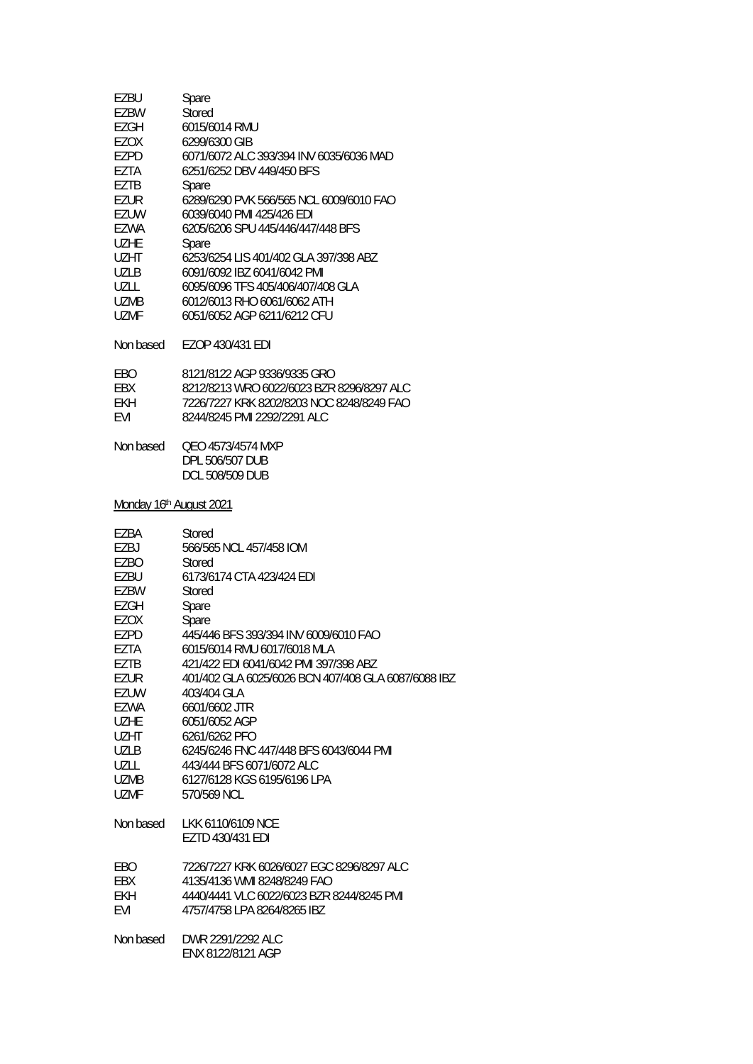| EZBU                    | Spare                                                          |
|-------------------------|----------------------------------------------------------------|
| EZBW                    | Stored                                                         |
| <b>EZGH</b>             | 6015/6014 RMU                                                  |
| EZOX                    | 6299/6300 GIB                                                  |
| EZPD                    | 6071/6072 ALC 393/394 INV 6035/6036 MAD                        |
| <b>EZTA</b>             | 6251/6252 DBV 449/450 BFS                                      |
| EZTB                    | Spare                                                          |
| <b>EZUR</b>             | 6289/6290 PVK 566/565 NCL 6009/6010 FAO                        |
| <b>EZUW</b>             | 6039/6040 PMI 425/426 EDI                                      |
| EZWA                    | 6205/6206 SPU 445/446/447/448 BFS                              |
| <b>UZHE</b>             | Spare                                                          |
| <b>UZHT</b>             | 6253/6254 LIS 401/402 GLA 397/398 ABZ                          |
| <b>UZLB</b>             | 6091/6092 IBZ 6041/6042 PMI                                    |
| UZLL                    | 6095/6096 TFS 405/406/407/408 GLA                              |
| <b>UZMB</b>             | 6012/6013 RHO 6061/6062 ATH                                    |
| <b>UZMF</b>             | 6051/6052 AGP 6211/6212 CFU                                    |
| Non based               | EZOP 430/431 EDI                                               |
| EBO                     | 8121/8122 AGP 9336/9335 GRO                                    |
| EBX                     | 8212/8213 WRO 6022/6023 BZR 8296/8297 ALC                      |
| EKH                     | 7226/7227 KRK 8202/8203 NOC 8248/8249 FAO                      |
| EVI                     | 8244/8245 PMI 2292/2291 ALC                                    |
| Non based               | QEO 4573/4574 MXP<br>DPL 506/507 DUB<br><b>DCL 508/509 DUB</b> |
| Monday 16th August 2021 |                                                                |
| EZBA                    | Stored                                                         |
| EZBJ                    | 566/565 NCL 457/458 IOM                                        |
| <b>EZBO</b>             | Stored                                                         |
| EZBU                    | 6173/6174 CTA 423/424 EDI                                      |
| EZBW                    | Stored                                                         |
| <b>EZGH</b>             | Spare                                                          |
| EZOX                    | Spare                                                          |
| <b>EZPD</b>             | 445/446 BFS 393/394 INV 6009/6010 FAO                          |
| EZTA                    | 6015/6014 RMU 6017/6018 MLA                                    |
| EZTB                    | 421/422 EDI 6041/6042 PMI 397/398 ABZ                          |
| EZUR                    | 401/402 GLA 6025/6026 BCN 407/408 GLA 6087/6088 IBZ            |
| EZUW                    | 403/404 GLA                                                    |
| EZWA                    | 6601/6602 JTR                                                  |
| <b>UZHE</b>             | 6051/6052 AGP                                                  |
| UZHT                    | 6261/6262 PFO                                                  |
| UZLB                    | 6245/6246 FNC 447/448 BFS 6043/6044 PMI                        |
| UZLL                    | 443/444 BFS 6071/6072 ALC                                      |
| <b>UZMB</b>             | 6127/6128 KGS 6195/6196 LPA                                    |
| UZMF                    | 570/569 NCL                                                    |
| Non based               | LKK 6110/6109 NCE<br>EZTD 430/431 EDI                          |
| EBO                     | 7226/7227 KRK 6026/6027 EGC 8296/8297 ALC                      |
| EBX                     | 4135/4136 WMI 8248/8249 FAO                                    |
| EKH                     | 4440/4441 VLC 6022/6023 BZR 8244/8245 PMI                      |
| EVI                     | 4757/4758 LPA 8264/8265 IBZ                                    |
| Non based               | DWR 2291/2292 ALC<br>ENX 8122/8121 AGP                         |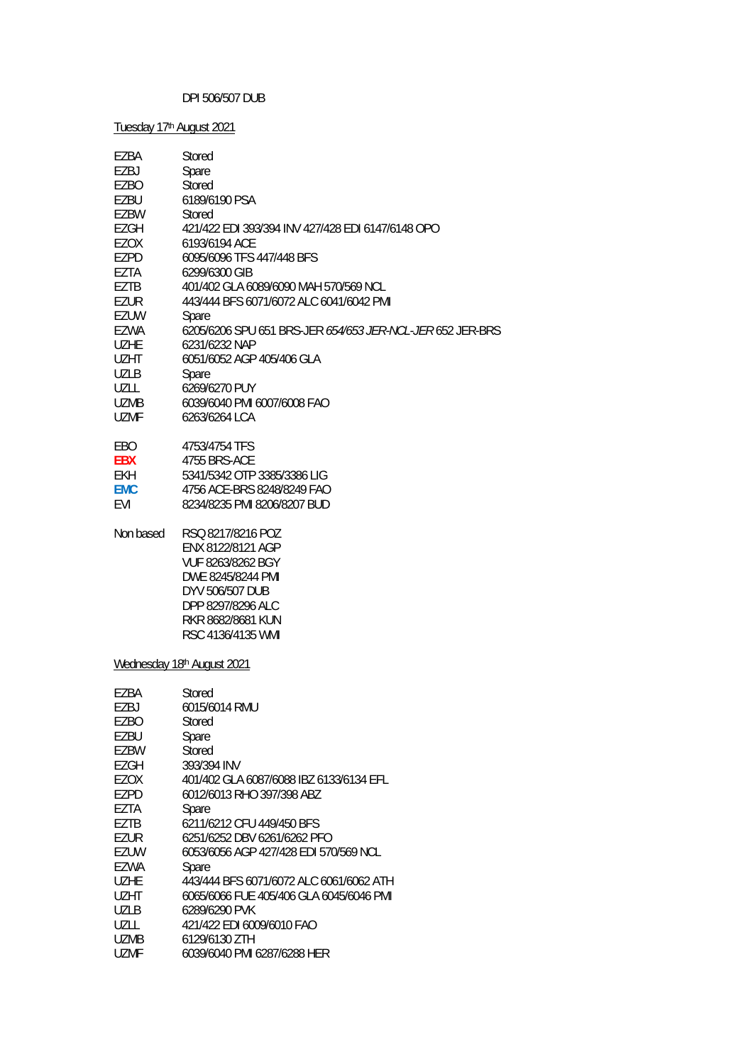# DPI 506/507 DUB

Tuesday 17<sup>th</sup> August 2021

| EZBA        | Stored                                                                                                                                                             |
|-------------|--------------------------------------------------------------------------------------------------------------------------------------------------------------------|
| EZBJ        | Spare                                                                                                                                                              |
| EZBO        | Stored                                                                                                                                                             |
| EZBU        | 6189/6190 PSA                                                                                                                                                      |
| EZBW        | Stored                                                                                                                                                             |
| EZGH        | 421/422 EDI 393/394 INV 427/428 EDI 6147/6148 OPO                                                                                                                  |
| EZOX        | 6193/6194 ACE                                                                                                                                                      |
| EZPD        | 6095/6096 TFS 447/448 BFS                                                                                                                                          |
| EZTA        | 6299/6300 GIB                                                                                                                                                      |
| EZTB        | 401/402 GLA 6089/6090 MAH 570/569 NCL                                                                                                                              |
| EZUR        | 443/444 BFS 6071/6072 ALC 6041/6042 PMI                                                                                                                            |
| <b>EZUW</b> | Spare                                                                                                                                                              |
| EZWA        | 6205/6206 SPU 651 BRS-JER 654/653 JER-NCL-JER 652 JER-BRS                                                                                                          |
| <b>UZHE</b> | 6231/6232 NAP                                                                                                                                                      |
| <b>UZHT</b> | 6051/6052 AGP 405/406 GLA                                                                                                                                          |
| <b>UZLB</b> | Spare                                                                                                                                                              |
| <b>UZLL</b> | 6269/6270 PUY                                                                                                                                                      |
| <b>UZMB</b> | 6039/6040 PMI 6007/6008 FAO                                                                                                                                        |
| <b>UZMF</b> | 6263/6264 LCA                                                                                                                                                      |
| EBO         | 4753/4754 TFS                                                                                                                                                      |
| <b>EBX</b>  | 4755 BRS-ACE                                                                                                                                                       |
| <b>EKH</b>  | 5341/5342 OTP 3385/3386 LIG                                                                                                                                        |
| <b>EMC</b>  | 4756 ACE-BRS 8248/8249 FAO                                                                                                                                         |
| EVI         | 8234/8235 PMI 8206/8207 BUD                                                                                                                                        |
| Non based   | RSQ 8217/8216 POZ<br>ENX 8122/8121 AGP<br>VUF 8263/8262 BGY<br>DWE 8245/8244 PMI<br>DYV 506/507 DUB<br>DPP 8297/8296 ALC<br>RKR 8682/8681 KUN<br>RSC 4136/4135 WMI |
|             | Wednesday 18th August 2021                                                                                                                                         |
| EZBA        | Stored                                                                                                                                                             |
| EZBJ        | 6015/6014 RMU                                                                                                                                                      |
| EZBO        | Stored                                                                                                                                                             |
| EZBU        | Spare                                                                                                                                                              |
| EZBW        | Stored                                                                                                                                                             |
| <b>EZGH</b> | 393/394 INV                                                                                                                                                        |
| EZOX        | 401/402 GLA 6087/6088 IBZ 6133/6134 EFL                                                                                                                            |
| EZPD        | 6012/6013 RHO 397/398 ABZ                                                                                                                                          |
| EZTA        | Spare                                                                                                                                                              |
| EZTB        | 6211/6212 CFU 449/450 BFS                                                                                                                                          |
| <b>EZUR</b> | 6251/6252 DBV 6261/6262 PFO                                                                                                                                        |
| <b>EZUW</b> | 6053/6056 AGP 427/428 EDI 570/569 NCL                                                                                                                              |
| EZWA        | Spare                                                                                                                                                              |
| <b>UZHE</b> | 443/444 BFS 6071/6072 ALC 6061/6062 ATH                                                                                                                            |
| <b>UZHT</b> | 6065/6066 FUE 405/406 GLA 6045/6046 PMI                                                                                                                            |
| <b>UZLB</b> | 6289/6290 PVK                                                                                                                                                      |
| UZLL        | 421/422 EDI 6009/6010 FAO                                                                                                                                          |
| <b>UZMB</b> | 6129/6130 ZTH                                                                                                                                                      |
| <b>UZMF</b> | 6039/6040 PMI 6287/6288 HER                                                                                                                                        |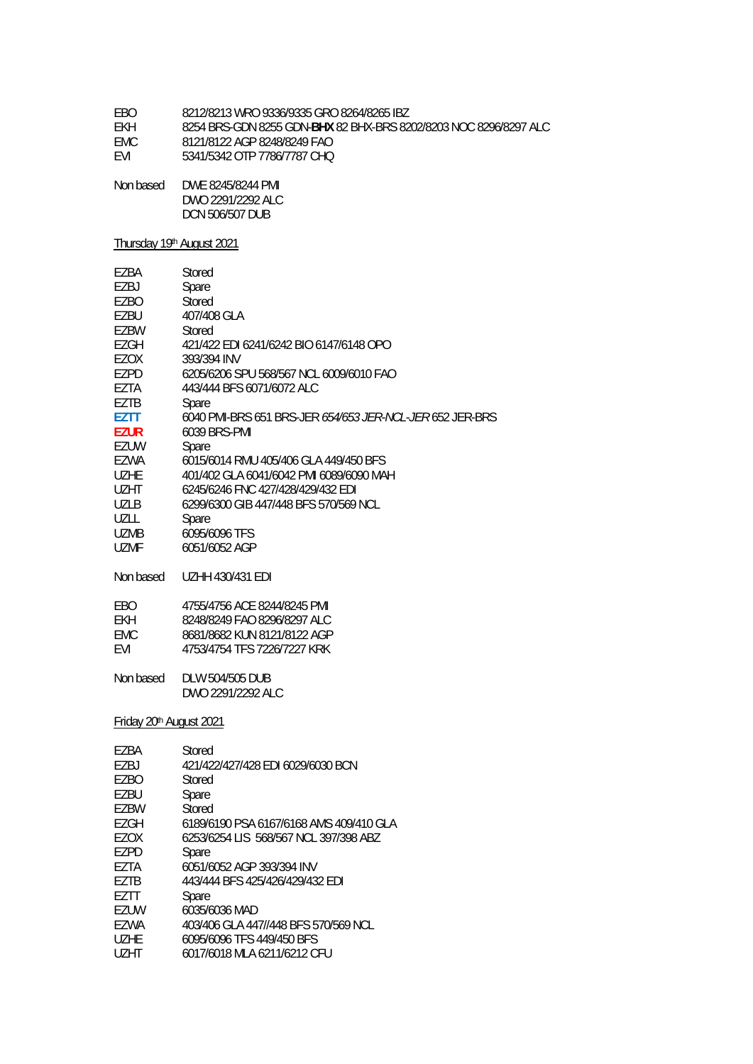| 8212/8213 WRO 9336/9335 GRO 8264/8265 IBZ<br>EBO |  |
|--------------------------------------------------|--|
|--------------------------------------------------|--|

- EKH 8254 BRS-GDN 8255 GDN-**BHX** 82 BHX-BRS 8202/8203 NOC 8296/8297 ALC
- 8121/8122 AGP 8248/8249 FAO
- EVI 5341/5342 OTP 7786/7787 CHQ
- Non based DWE 8245/8244 PMI DWO 2291/2292 ALC DCN 506/507 DUB

# Thursday 19th August 2021

| EZBA                                | Stored                                                   |
|-------------------------------------|----------------------------------------------------------|
| EZBJ                                | Spare                                                    |
| EZBO                                | Stored                                                   |
| EZBU                                | 407/408 GLA                                              |
| EZBW                                | Stored                                                   |
| <b>EZGH</b>                         | 421/422 EDI 6241/6242 BIO 6147/6148 OPO                  |
| EZOX                                | 393/394 INV                                              |
| <b>EZPD</b>                         | 6205/6206 SPU 568/567 NCL 6009/6010 FAO                  |
| EZTA                                | 443/444 BFS 6071/6072 ALC                                |
| EZTB                                | Spare                                                    |
| EZTT                                | 6040 PMI-BRS 651 BRS-JER 654/653 JER-NCL-JER 652 JER-BRS |
| <b>EZUR</b>                         | 6039 BRS-PMI                                             |
| EZUW                                | Spare                                                    |
| <b>EZWA</b>                         | 6015/6014 RMU 405/406 GLA 449/450 BFS                    |
| <b>UZHE</b>                         | 401/402 GLA 6041/6042 PMI 6089/6090 MAH                  |
| <b>UZHT</b>                         | 6245/6246 FNC 427/428/429/432 EDI                        |
| <b>UZLB</b>                         | 6299/6300 GIB 447/448 BFS 570/569 NCL                    |
| UZLL                                | Spare                                                    |
| <b>UZMB</b>                         | 6095/6096 TFS                                            |
| <b>UZMF</b>                         | 6051/6052 AGP                                            |
| Non based                           | <b>UZHH 430/431 EDI</b>                                  |
| <b>EBO</b>                          | 4755/4756 ACE 8244/8245 PMI                              |
| <b>EKH</b>                          | 8248/8249 FAO 8296/8297 ALC                              |
| <b>EMC</b>                          | 8681/8682 KUN 8121/8122 AGP                              |
| EVI                                 | 4753/4754 TFS 7226/7227 KRK                              |
| Non based                           | DLW 504/505 DUB                                          |
|                                     | DWO 2291/2292 ALC                                        |
| Friday 20 <sup>th</sup> August 2021 |                                                          |
| EZBA                                | Stored                                                   |
| EZBJ                                | 421/422/427/428 EDI 6029/6030 BCN                        |
| EZBO                                | Stored                                                   |
| EZBU                                | Spare                                                    |
| <b>EZBW</b>                         | Stored                                                   |
| EZGH                                | 6189/6190 PSA 6167/6168 AMS 409/410 GLA                  |
| EZOX                                | 6253/6254 LIS 568/567 NCL 397/398 ABZ                    |
| <b>EZPD</b>                         | Spare                                                    |
| EZTA                                | 6051/6052 AGP 393/394 INV                                |
| EZTB                                | 443/444 BFS 425/426/429/432 EDI                          |
| EZTT                                | Spare                                                    |
| EZUW                                | 6035/6036 MAD                                            |
|                                     |                                                          |

- EZWA 403/406 GLA 447//448 BFS 570/569 NCL<br>UZHE 6095/6096 TFS 449/450 BFS
- UZHE 6095/6096 TFS 449/450 BFS<br>UZHT 6017/6018 MLA 6211/6212 CH
- 6017/6018 MLA 6211/6212 CFU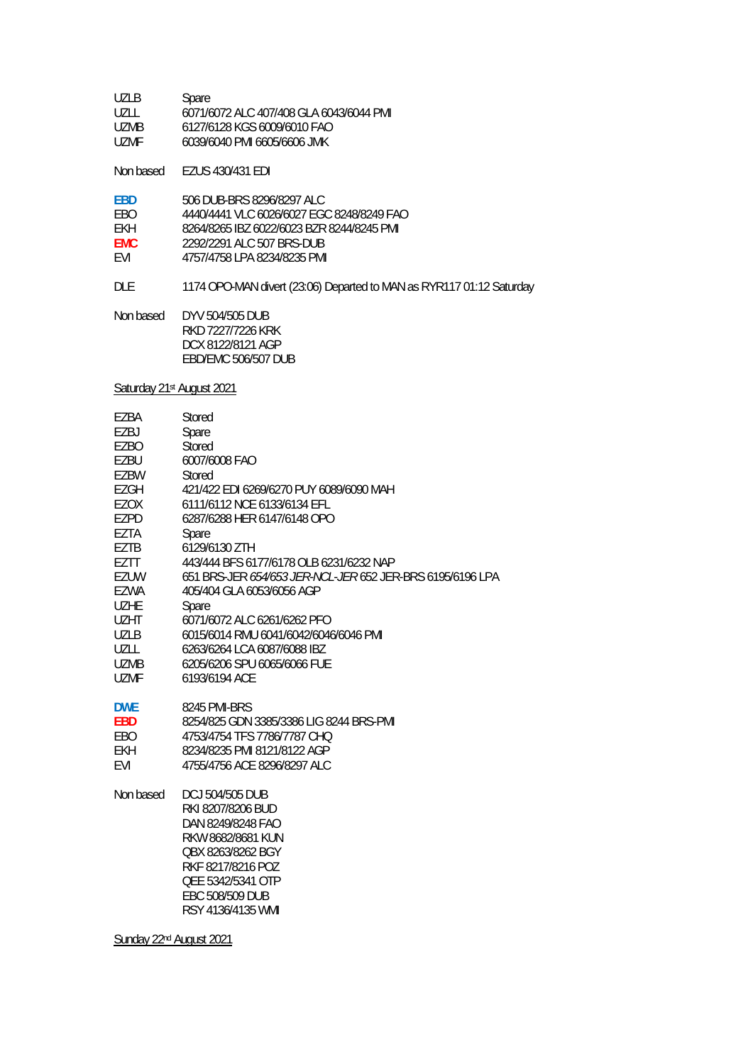| UZLB  | Spare                                   |
|-------|-----------------------------------------|
| UZLL  | 6071/6072 ALC 407/408 GLA 6043/6044 PMI |
| UZMB. | 6127/6128 KGS 6009/6010 FAO             |
| UZME. | 6039/6040 PMI 6605/6606 JMK             |

Non based EZUS 430/431 EDI

| 506 DUB-BRS 8296/8297 ALC                 |
|-------------------------------------------|
| 4440/4441 VLC 6026/6027 EGC 8248/8249 FAO |
| 8264/8265 IBZ 6022/6023 BZR 8244/8245 PML |
| 2292/2291 ALC 507 BRS-DUB                 |
| 4757/4758 LPA 8234/8235 PML               |
|                                           |

DLE 1174 OPO-MAN divert (23:06) Departed to MAN as RYR117 01:12 Saturday

Non based DYV 504/505 DUB RKD 7227/7226 KRK DCX 8122/8121 AGP EBD/EMC 506/507 DUB

Saturday 21st August 2021

| EZBA        | Stored                                                    |
|-------------|-----------------------------------------------------------|
| EZBJ        | Spare                                                     |
| EZBO        | Stored                                                    |
| EZBU        | 6007/6008 FAO                                             |
| EZBW        | Stored                                                    |
| EZGH        | 421/422 EDI 6269/6270 PUY 6089/6090 MAH                   |
| EZOX        | 6111/6112 NCE 6133/6134 EFL                               |
| EZPD        | 6287/6288 HER 6147/6148 OPO                               |
| EZTA        | Spare                                                     |
| EZTB        | 6129/6130 ZTH                                             |
| EZTT        | 443/444 BFS 6177/6178 OLB 6231/6232 NAP                   |
| EZUW        | 651 BRS-JER 654/653 JER-NCL-JER 652 JER-BRS 6195/6196 LPA |
| EZWA        | 405/404 GLA 6053/6056 AGP                                 |
| <b>UZHE</b> | Spare                                                     |
| <b>UZHT</b> | 6071/6072 ALC 6261/6262 PFO                               |
| <b>UZLB</b> | 6015/6014 RMU 6041/6042/6046/6046 PMI                     |
| UZLL        | 6263/6264 LCA 6087/6088 IBZ                               |
| UZMB        | 6205/6206 SPU 6065/6066 FUE                               |
| <b>UZMF</b> | 6193/6194 ACF                                             |
| <b>DWE</b>  | 8245 PMI-BRS                                              |
| <b>EBD</b>  | 8254/825 GDN 3385/3386 LIG 8244 BRS-PMI                   |
| EBO         | 4753/4754 TFS 7786/7787 CHQ                               |
| <b>EKH</b>  | 8234/8235 PMI 8121/8122 AGP                               |
| <b>EVI</b>  | 4755/4756 ACE 8296/8297 ALC                               |
|             |                                                           |
| Non based   | <b>DCJ 504/505 DUB</b>                                    |
|             | RKI 8207/8206 BUD                                         |
|             | DAN 8249/8248 FAO                                         |
|             | RKW 8682/8681 KUN                                         |
|             | OBX 8263/8262 BGY                                         |
|             | RKF 8217/8216 POZ                                         |
|             | QEE 5342/5341 OTP                                         |
|             | <b>EBC 508/509 DUB</b>                                    |

RSY 4136/4135 WMI

Sunday 22<sup>nd</sup> August 2021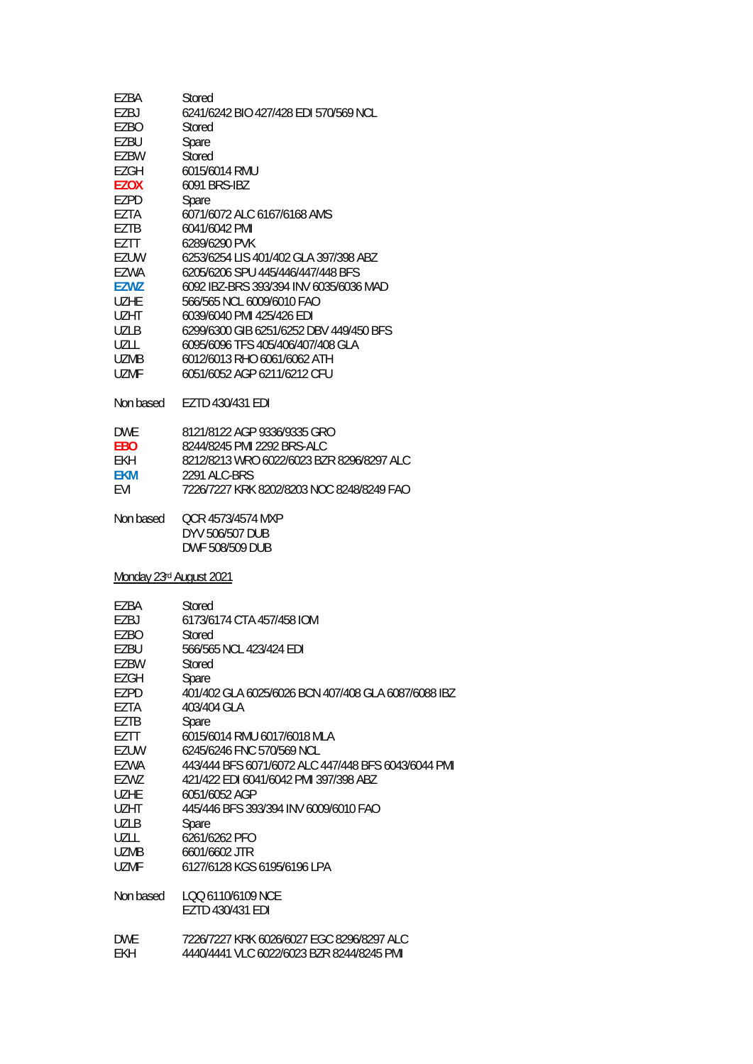| EZBA        | Stored                                    |
|-------------|-------------------------------------------|
| EZBJ        | 6241/6242 BIO 427/428 FDI 570/569 NCL     |
| EZBO        | Stored                                    |
| F7BU        | Spare                                     |
| <b>EZBW</b> | Stored                                    |
| F7GH        | 6015/6014 RMU                             |
| <b>EZOX</b> | 6091 BRS-IB7                              |
| F7PD        | Spare                                     |
| F7TA        | 6071/6072 ALC 6167/6168 AMS               |
| EZTB        | 6041/6042 PMI                             |
| EZTT        | 6289/6290 PVK                             |
| F7UW        | 6253/6254 LIS 401/402 GLA 397/398 ABZ     |
| F7WA        | 6205/6206 SPU 445/446/447/448 BFS         |
| F7W7        | 6092 IBZ-BRS 393/394 INV 6035/6036 MAD    |
| UZHF        | 566/565 NCL 6009/6010 FAO                 |
| UZHT.       | 6039/6040 PMI 425/426 FDI                 |
| U71 B       | 6299/6300 GIB 6251/6252 DBV 449/450 BES   |
| UZLL        | 6095/6096 TFS 405/406/407/408 GLA         |
| <b>UZMB</b> | 6012/6013 RHO 6061/6062 ATH               |
| UZMF        | 6051/6052 AGP 6211/6212 CEU               |
| Non based   | EZTD 430/431 EDI                          |
| <b>DWF</b>  | 8121/8122 AGP 9336/9335 GRO               |
| <b>FBO</b>  | 8244/8245 PMI 2292 BRS-ALC                |
| FKH         | 8212/8213 WRO 6022/6023 BZR 8296/8297 ALC |
| <b>FKM</b>  | 2291 ALC-BRS                              |
| FVI         | 7226/7227 KRK 8202/8203 NOC 8248/8249 FAO |
|             |                                           |

Non based QCR 4573/4574 MXP DYV 506/507 DUB DWF 508/509 DUB

Monday 23rd August 2021

| EZBA        | Stored                                              |
|-------------|-----------------------------------------------------|
| EZBJ        | 6173/6174 CTA 457/458 IOM                           |
| F7BO        | Stored                                              |
| EZBU        | 566/565 NCL 423/424 EDI                             |
| EZBW        | Stored                                              |
| EZGH        | Spare                                               |
| EZPD        | 401/402 GLA 6025/6026 BCN 407/408 GLA 6087/6088 IBZ |
| EZTA        | 403/404 GLA                                         |
| EZTB        | Spare                                               |
| EZTT        | 6015/6014 RMU 6017/6018 MLA                         |
| EZUW        | 6245/6246 FNC 570/569 NCL                           |
| EZWA        | 443/444 BFS 6071/6072 ALC 447/448 BFS 6043/6044 PMI |
| EZWZ        | 421/422 EDI 6041/6042 PMI 397/398 ABZ               |
| <b>UZHE</b> | 6051/6052 AGP                                       |
| <b>UZHT</b> | 445/446 BFS 393/394 INV 6009/6010 FAO               |
| <b>UZLB</b> | Spare                                               |
| UZLL        | 6261/6262 PFO                                       |
| UZMB        | 6601/6602 JTR                                       |
| <b>UZMF</b> | 6127/6128 KGS 6195/6196 LPA                         |
| Non based   | LOO 6110/6109 NCE                                   |
|             | EZTD 430/431 EDI                                    |
| <b>DWF</b>  | 7226/7227 KRK 6026/6027 EGC 8296/8297 ALC           |
| EKH         | 4440/4441 VLC 6022/6023 BZR 8244/8245 PMI           |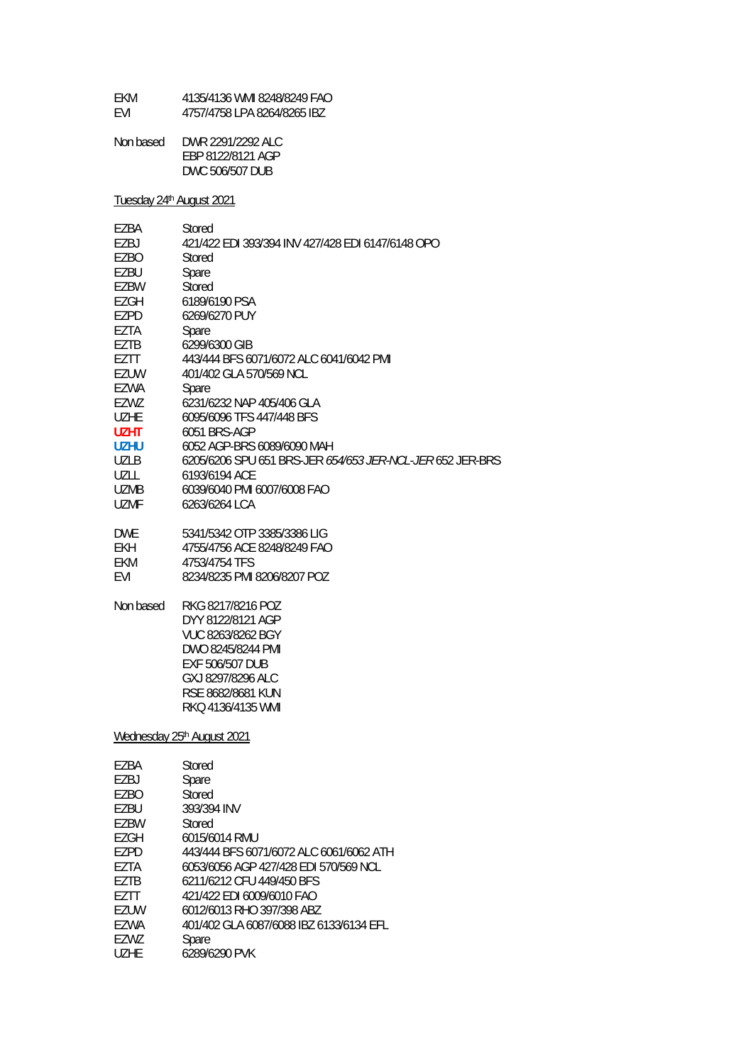| FKM        | 4135/4136 WMI 8248/8249 FAO |
|------------|-----------------------------|
| <b>FVI</b> | 4757/4758 LPA 8264/8265 IBZ |

| Non based | DWR 2291/2292 ALC |
|-----------|-------------------|
|           | EBP 8122/8121 AGP |
|           | DWC 506/507 DUB   |

Tuesday 24<sup>th</sup> August 2021

| EZBA        | Stored                                                    |
|-------------|-----------------------------------------------------------|
| EZBJ        | 421/422 EDI 393/394 INV 427/428 EDI 6147/6148 OPO         |
| <b>EZBO</b> | <b>Stored</b>                                             |
| EZBU        | Spare                                                     |
| EZBW        | Stored                                                    |
| <b>EZGH</b> | 6189/6190 PSA                                             |
| EZPD        | 6269/6270 PUY                                             |
| EZTA        | Spare                                                     |
| EZTB        | 6299/6300 GIB                                             |
| EZTT        | 443/444 BFS 6071/6072 ALC 6041/6042 PMI                   |
| <b>EZUW</b> | 401/402 GLA 570/569 NCL                                   |
|             |                                                           |
| EZWA        | Spare                                                     |
| EZWZ        | 6231/6232 NAP 405/406 GLA                                 |
| <b>UZHE</b> | 6095/6096 TFS 447/448 BFS                                 |
| <b>UZHT</b> | 6051 BRS-AGP                                              |
| <b>UZHU</b> | 6052 AGP-BRS 6089/6090 MAH                                |
| <b>UZLB</b> | 6205/6206 SPU 651 BRS-JER 654/653 JER-NCL-JER 652 JER-BRS |
| <b>UZLL</b> | 6193/6194 ACE                                             |
| <b>UZMB</b> | 6039/6040 PMI 6007/6008 FAO                               |
| <b>UZMF</b> | 6263/6264 LCA                                             |
| <b>DWE</b>  | 5341/5342 OTP 3385/3386 LIG                               |
| <b>EKH</b>  | 4755/4756 ACE 8248/8249 FAO                               |
| EKM         | 4753/4754 TFS                                             |
| EVI         | 8234/8235 PMI 8206/8207 POZ                               |
| Non based   | RKG 8217/8216 POZ                                         |
|             | DYY 8122/8121 AGP                                         |
|             | VUC 8263/8262 BGY                                         |
|             | DWO 8245/8244 PMI                                         |
|             | EXF 506/507 DUB                                           |
|             | GXJ 8297/8296 ALC                                         |
|             | RSE 8682/8681 KUN                                         |
|             | RKQ 4136/4135 WMI                                         |
|             |                                                           |
|             | Wednesday 25th August 2021                                |
| EZBA        | Stored                                                    |
| EZBJ        | Spare                                                     |
| <b>EZBO</b> | Stored                                                    |
| EZBU        | 393/394 INV                                               |
| <b>EZBW</b> | Stored                                                    |
| <b>EZGH</b> | 6015/6014 RMU                                             |
| <b>EZPD</b> | 443/444 BFS 6071/6072 ALC 6061/6062 ATH                   |
| EZTA        | 6053/6056 AGP 427/428 EDI 570/569 NCL                     |
| <b>EZTB</b> | 6211/6212 CFU 449/450 BFS                                 |
| EZTT        | 421/422 EDI 6009/6010 FAO                                 |
| EZUW        | 6012/6013 RHO 397/398 ABZ                                 |
| EZWA        | 401/402 GLA 6087/6088 IBZ 6133/6134 EFL                   |
| EZWZ        | Spare                                                     |
|             |                                                           |

| UZHE | 6289/6290 PVK |
|------|---------------|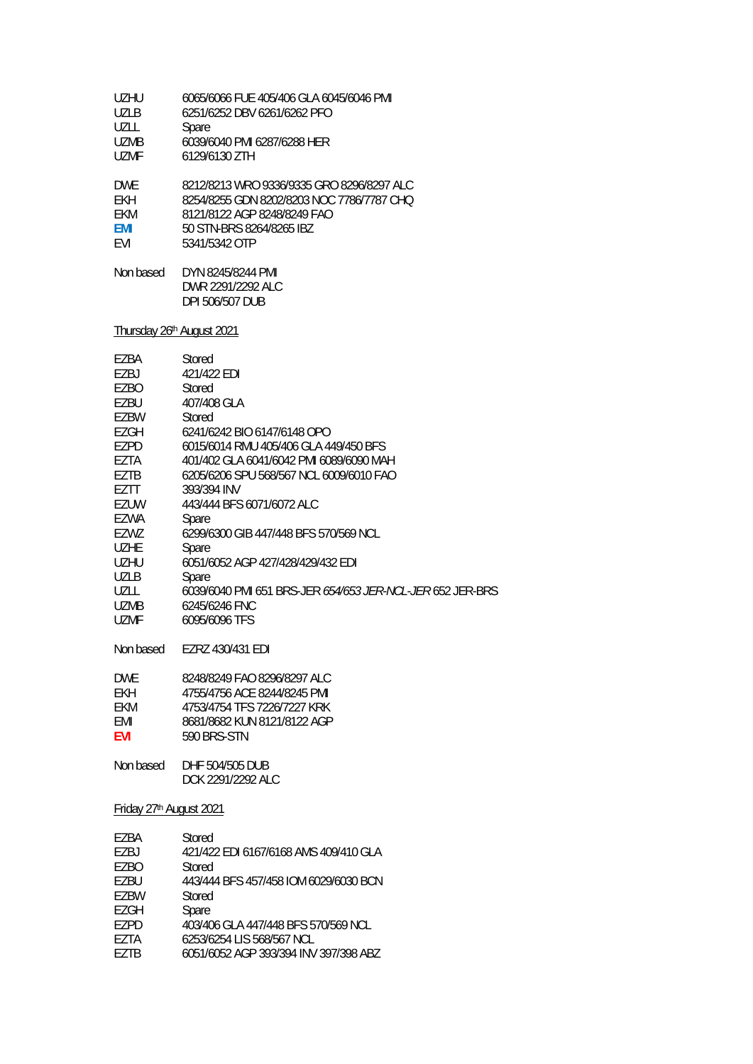| UZHU                                | 6065/6066 FUE 405/406 GLA 6045/6046 PMI                   |
|-------------------------------------|-----------------------------------------------------------|
| UZLB                                | 6251/6252 DBV 6261/6262 PFO                               |
| UZLL                                | Spare                                                     |
| UZMB                                | 6039/6040 PMI 6287/6288 HER                               |
| UZMF                                | 6129/6130 ZTH                                             |
| <b>DWE</b>                          | 8212/8213 WRO 9336/9335 GRO 8296/8297 ALC                 |
| <b>EKH</b>                          | 8254/8255 GDN 8202/8203 NOC 7786/7787 CHQ                 |
| EKM                                 | 8121/8122 AGP 8248/8249 FAO                               |
| EMI                                 | 50 STN-BRS 8264/8265 IBZ                                  |
| <b>FVI</b>                          | 5341/5342 OTP                                             |
| Non based                           | DYN 8245/8244 PMI<br>DWR 2291/2292 ALC<br>DPI 506/507 DUB |
|                                     | Thursday 26th August 2021                                 |
| EZBA                                | Stored                                                    |
| EZBJ                                | 421/422 EDI                                               |
| EZBO                                | Stored                                                    |
| EZBU                                | 407/408 GLA                                               |
| EZBW                                | Stored                                                    |
| EZGH                                | 6241/6242 BIO 6147/6148 OPO                               |
| EZPD                                | 6015/6014 RMU 405/406 GLA 449/450 BFS                     |
| EZTA                                | 401/402 GLA 6041/6042 PMI 6089/6090 MAH                   |
| <b>EZTB</b>                         | 6205/6206 SPU 568/567 NCL 6009/6010 FAO                   |
| EZTT                                | 393/394 INV                                               |
| EZUW                                | 443/444 BFS 6071/6072 ALC                                 |
| <b>EZWA</b>                         | Spare                                                     |
| EZWZ                                | 6299/6300 GIB 447/448 BFS 570/569 NCL                     |
| <b>UZHE</b>                         | Spare                                                     |
| <b>UZHU</b>                         | 6051/6052 AGP 427/428/429/432 EDI                         |
| UZLB                                | Spare                                                     |
| UZLL                                | 6039/6040 PMI 651 BRS-JER 654/653 JER-NCL-JER 652 JER-BRS |
| UZMB                                | 6245/6246 FNC                                             |
| UZMF                                | 6095/6096 TFS                                             |
| Non based                           | EZRZ 430/431 EDI                                          |
| <b>DWE</b>                          | 8248/8249 FAO 8296/8297 ALC                               |
| EKH.                                | 4755/4756 ACE 8244/8245 PMI                               |
| EKM                                 | 4753/4754 TFS 7226/7227 KRK                               |
| EMI                                 | 8681/8682 KUN 8121/8122 AGP                               |
| EVI                                 | 590 BRS-STN                                               |
| Non based                           | DHF 504/505 DUB<br>DCK 2291/2292 ALC                      |
| Friday 27 <sup>th</sup> August 2021 |                                                           |
| EZBA                                | Stored                                                    |
| EZBJ                                | 421/422 EDI 6167/6168 AMS 409/410 GLA                     |
| EZBO                                | Stored                                                    |

- EZBU 443/444 BFS 457/458 IOM 6029/6030 BCN<br>EZBW Stored
- EZBW Stored<br>EZGH Spare
- EZGH<br>EZPD EZPD 403/406 GLA 447/448 BFS 570/569 NCL<br>EZTA 6253/6254 LIS 568/567 NCL
- 
- EZTA 6253/6254 LIS 568/567 NCL<br>EZTB 6051/6052 AGP 393/394 INV EZTB 6051/6052 AGP 393/394 INV 397/398 ABZ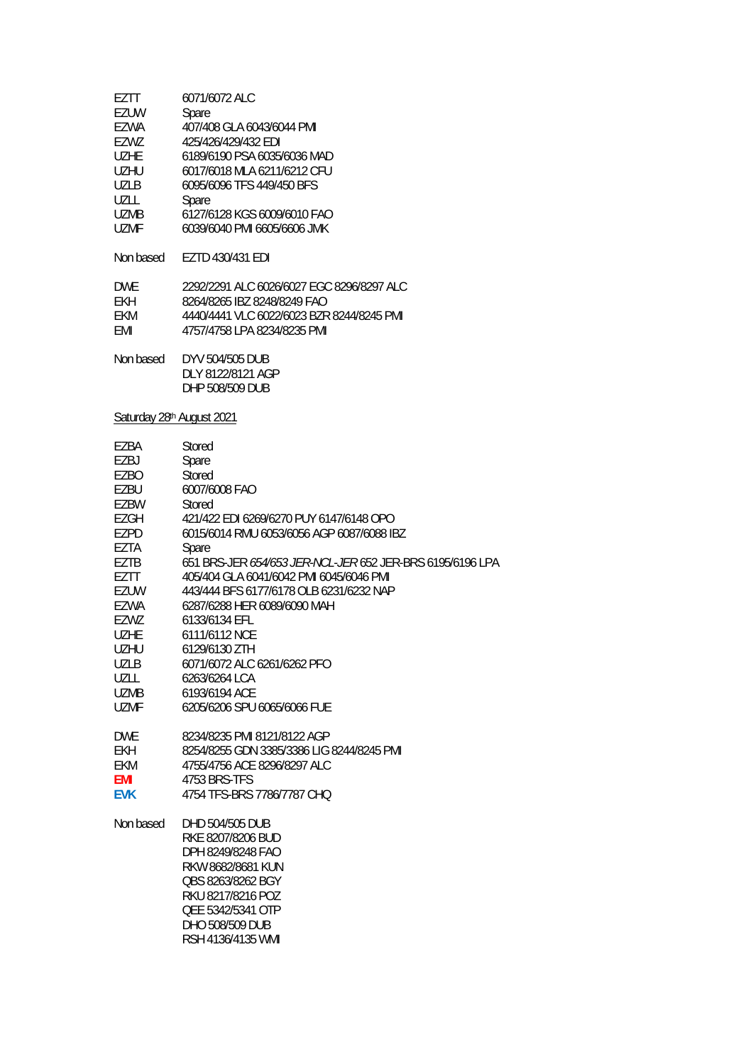| F7TT              | 6071/6072 ALC               |
|-------------------|-----------------------------|
| EZUW              | Spare                       |
| F7WA              | 407/408 GLA 6043/6044 PMI   |
| F7W7              | 425/426/429/432 EDI         |
| U <sub>7</sub> HF | 6189/6190 PSA 6035/6036 MAD |
| UZHU              | 6017/6018 MLA 6211/6212 CFU |
| <b>UZLB</b>       | 6095/6096 TFS 449/450 BFS   |
| UZLL              | Spare                       |
| <b>UZMB</b>       | 6127/6128 KGS 6009/6010 FAO |
| <b>UZMF</b>       | 6039/6040 PMI 6605/6606 JMK |
|                   |                             |
| Non based         | EZTD 430/431 EDI            |

| <b>DWF</b> | 2292/2291 ALC 6026/6027 EGC 8296/8297 ALC |
|------------|-------------------------------------------|
| FKH.       | 8264/8265 IBZ 8248/8249 FAO               |
| FKM.       | 4440/4441 VLC 6022/6023 BZR 8244/8245 PML |
| FMI        | 4757/4758 LPA 8234/8235 PML               |

| Non based | DYV 504/505 DUB   |
|-----------|-------------------|
|           | DLY 8122/8121 AGP |
|           | DHP 508/509 DUB   |

# Saturday 28<sup>th</sup> August 2021

| EZBA        | Stored                                                    |
|-------------|-----------------------------------------------------------|
| EZBJ        | Spare                                                     |
| EZBO        | Stored                                                    |
| EZBU        | 6007/6008 FAO                                             |
| EZBW        | Stored                                                    |
| <b>EZGH</b> | 421/422 EDI 6269/6270 PUY 6147/6148 OPO                   |
| EZPD        | 6015/6014 RMU 6053/6056 AGP 6087/6088 IBZ                 |
| EZTA        | Spare                                                     |
| EZTB        | 651 BRS-JER 654/653 JER-NCL-JER 652 JER-BRS 6195/6196 LPA |
| EZTT        | 405/404 GLA 6041/6042 PMI 6045/6046 PMI                   |
| <b>EZUW</b> | 443/444 BFS 6177/6178 OLB 6231/6232 NAP                   |
| EZWA        | 6287/6288 HER 6089/6090 MAH                               |
| EZWZ        | 6133/6134 EFL                                             |
| <b>UZHE</b> | 6111/6112 NCE                                             |
| <b>UZHU</b> | 6129/6130 ZTH                                             |
| <b>UZLB</b> | 6071/6072 ALC 6261/6262 PFO                               |
| UZLL        | 6263/6264 LCA                                             |
| UZMB        | 6193/6194 ACE                                             |
| <b>UZMF</b> | 6205/6206 SPU 6065/6066 FUE                               |
| <b>DWE</b>  | 8234/8235 PMI 8121/8122 AGP                               |
| <b>EKH</b>  | 8254/8255 GDN 3385/3386 LIG 8244/8245 PMI                 |
| <b>EKM</b>  | 4755/4756 ACE 8296/8297 ALC                               |
| EMI         | 4753 BRS-TFS                                              |
| <b>EVK</b>  | 4754 TFS-BRS 7786/7787 CHO                                |
| Non based   | DHD 504/505 DUB                                           |
|             | RKE 8207/8206 BUD                                         |
|             | DPH 8249/8248 FAO                                         |
|             | RKW 8682/8681 KUN                                         |
|             | OBS 8263/8262 BGY                                         |
|             | RKU 8217/8216 POZ                                         |
|             | QEE 5342/5341 OTP                                         |
|             | DHO 508/509 DUB                                           |
|             | RSH 4136/4135 WMI                                         |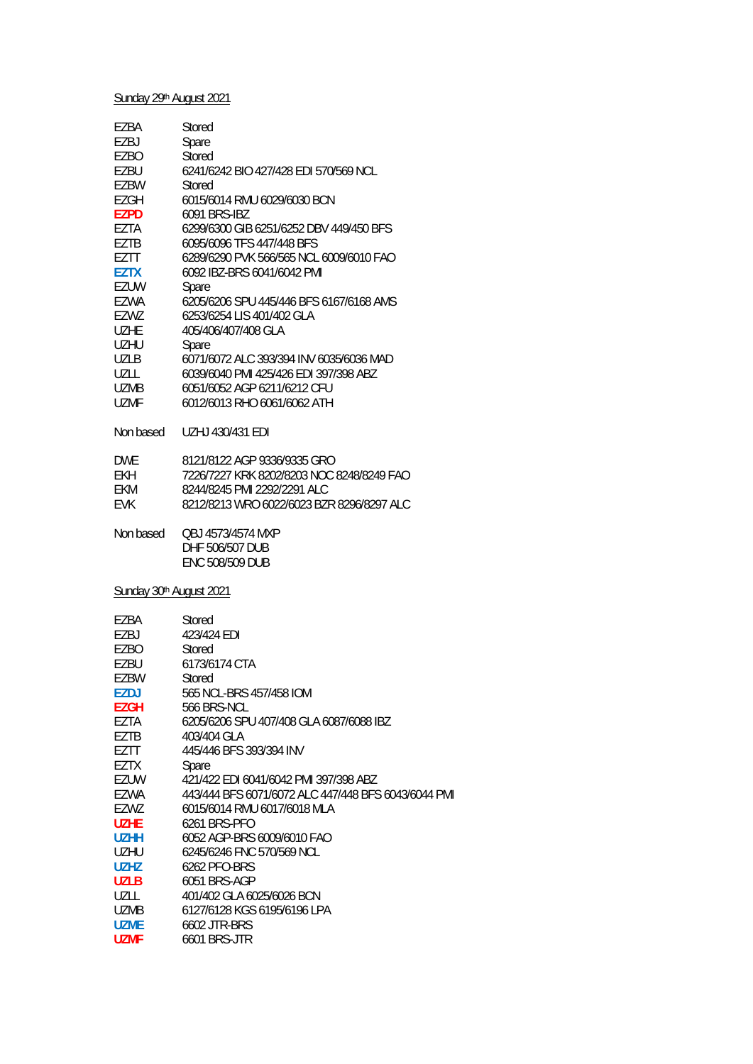# Sunday 29th August 2021

| EZBA                                | Stored                                                  |
|-------------------------------------|---------------------------------------------------------|
| EZBJ                                | Spare                                                   |
| EZBO                                | <b>Stored</b>                                           |
| EZBU                                | 6241/6242 BIO 427/428 EDI 570/569 NCL                   |
| EZBW                                | Stored                                                  |
| EZGH                                | 6015/6014 RMU 6029/6030 BCN                             |
| <b>EZPD</b>                         | 6091 BRS-IBZ                                            |
| EZTA                                | 6299/6300 GIB 6251/6252 DBV 449/450 BFS                 |
| EZTB                                | 6095/6096 TFS 447/448 BFS                               |
| EZTT                                | 6289/6290 PVK 566/565 NCL 6009/6010 FAO                 |
| <b>EZTX</b>                         | 6092 IBZ-BRS 6041/6042 PMI                              |
| <b>EZUW</b>                         | Spare                                                   |
| EZWA                                | 6205/6206 SPU 445/446 BFS 6167/6168 AMS                 |
| EZWZ                                | 6253/6254 LIS 401/402 GLA                               |
| <b>UZHE</b>                         | 405/406/407/408 GLA                                     |
| <b>UZHU</b>                         | Spare                                                   |
| <b>UZLB</b>                         | 6071/6072 ALC 393/394 INV 6035/6036 MAD                 |
| UZLL                                | 6039/6040 PMI 425/426 EDI 397/398 ABZ                   |
| <b>UZMB</b>                         | 6051/6052 AGP 6211/6212 CFU                             |
| <b>UZMF</b>                         | 6012/6013 RHO 6061/6062 ATH                             |
| Non based                           | UZHJ 430/431 EDI                                        |
| <b>DWE</b>                          | 8121/8122 AGP 9336/9335 GRO                             |
| <b>EKH</b>                          | 7226/7227 KRK 8202/8203 NOC 8248/8249 FAO               |
| EKM                                 | 8244/8245 PMI 2292/2291 ALC                             |
| <b>EVK</b>                          | 8212/8213 WRO 6022/6023 BZR 8296/8297 ALC               |
| Non based                           | QBJ 4573/4574 MXP<br>DHF 506/507 DUB<br>ENC 508/509 DUB |
| Sunday 30 <sup>th</sup> August 2021 |                                                         |
| EZBA                                | Stored                                                  |
| EZBJ                                | 423/424 EDI                                             |
| EZBO                                | Stored                                                  |
| EZBU                                | 6173/6174 CTA                                           |
| EZBW                                | Stored                                                  |
| <b>EZDJ</b>                         | 565 NCL-BRS 457/458 IOM                                 |
| <b>EZGH</b>                         | 566 BRS-NCL                                             |
| EZTA                                | 6205/6206 SPU 407/408 GLA 6087/6088 IBZ                 |
| EZTB                                | 403/404 GLA                                             |
| EZTT                                | 445/446 BFS 393/394 INV                                 |
| <b>EZTX</b>                         | Spare                                                   |
| EZUW                                | 421/422 EDI 6041/6042 PMI 397/398 ABZ                   |
| EZWA                                | 443/444 BFS 6071/6072 ALC 447/448 BFS 6043/6044 PMI     |
| EZWZ                                | 6015/6014 RMU 6017/6018 MLA                             |
| <b>UZHE</b>                         | 6261 BRS-PFO                                            |
| <b>UZHH</b>                         | 6052 AGP-BRS 6009/6010 FAO                              |
| <b>UZHU</b>                         | 6245/6246 FNC 570/569 NCL                               |

**UZHZ** 6262 PFO-BRS

UZLB 6051 BRS-AGP

UZLL 401/402 GLA 6025/6026 BCN 6127/6128 KGS 6195/6196 LPA

**UZME** 6602 JTR-BRS

**UZMF** 6601 BRS-JTR